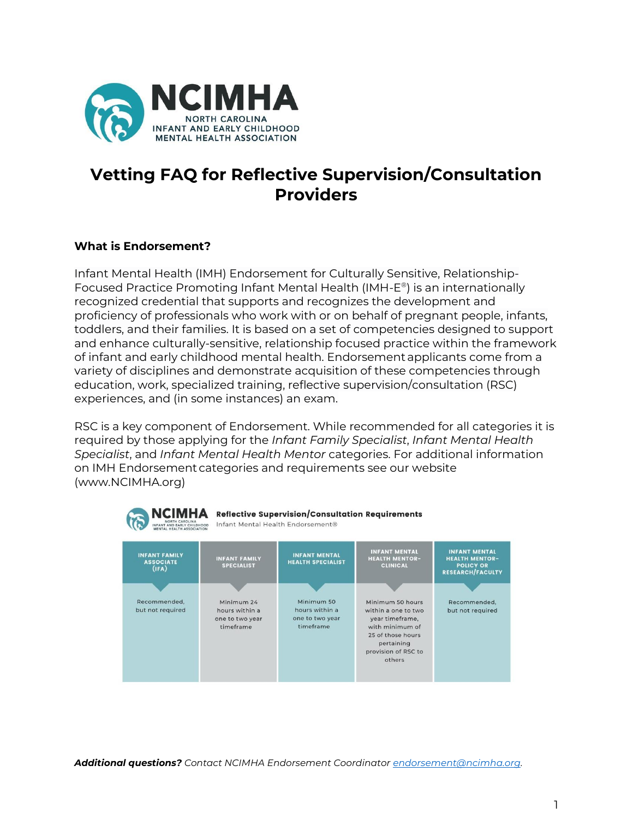

# **Vetting FAQ for Reflective Supervision/Consultation Providers**

# **What is Endorsement?**

Infant Mental Health (IMH) Endorsement for Culturally Sensitive, Relationship-Focused Practice Promoting Infant Mental Health (IMH-E ® ) is an internationally recognized credential that supports and recognizes the development and proficiency of professionals who work with or on behalf of pregnant people, infants, toddlers, and their families. It is based on a set of competencies designed to support and enhance culturally-sensitive, relationship focused practice within the framework of infant and early childhood mental health. Endorsement applicants come from a variety of disciplines and demonstrate acquisition of these competencies through education, work, specialized training, reflective supervision/consultation (RSC) experiences, and (in some instances) an exam.

RSC is a key component of Endorsement. While recommended for all categories it is required by those applying for the *Infant Family Specialist*, *Infant Mental Health Specialist*, and *Infant Mental Health Mentor* categories. For additional information on IMH Endorsement categories and requirements see our website (www.NCIMHA.org)



*Additional questions? Contact NCIMHA Endorsement Coordinator [endorsement@ncimha.org.](mailto:endorsement@ncimha.org)*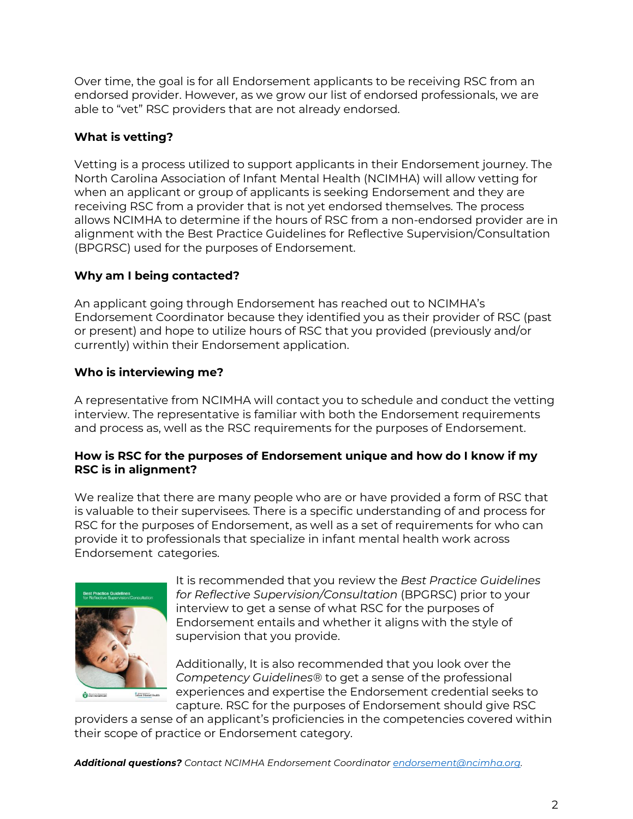Over time, the goal is for all Endorsement applicants to be receiving RSC from an endorsed provider. However, as we grow our list of endorsed professionals, we are able to "vet" RSC providers that are not already endorsed.

# **What is vetting?**

Vetting is a process utilized to support applicants in their Endorsement journey. The North Carolina Association of Infant Mental Health (NCIMHA) will allow vetting for when an applicant or group of applicants is seeking Endorsement and they are receiving RSC from a provider that is not yet endorsed themselves. The process allows NCIMHA to determine if the hours of RSC from a non-endorsed provider are in alignment with the Best Practice Guidelines for Reflective Supervision/Consultation (BPGRSC) used for the purposes of Endorsement.

# **Why am I being contacted?**

An applicant going through Endorsement has reached out to NCIMHA's Endorsement Coordinator because they identified you as their provider of RSC (past or present) and hope to utilize hours of RSC that you provided (previously and/or currently) within their Endorsement application.

# **Who is interviewing me?**

A representative from NCIMHA will contact you to schedule and conduct the vetting interview. The representative is familiar with both the Endorsement requirements and process as, well as the RSC requirements for the purposes of Endorsement.

# **How is RSC for the purposes of Endorsement unique and how do I know if my RSC is in alignment?**

We realize that there are many people who are or have provided a form of RSC that is valuable to their supervisees. There is a specific understanding of and process for RSC for the purposes of Endorsement, as well as a set of requirements for who can provide it to professionals that specialize in infant mental health work across Endorsement categories.



It is recommended that you review the *Best Practice Guidelines for Reflective Supervision/Consultation* (BPGRSC) prior to your interview to get a sense of what RSC for the purposes of Endorsement entails and whether it aligns with the style of supervision that you provide.

Additionally, It is also recommended that you look over the *Competency Guidelines®* to get a sense of the professional experiences and expertise the Endorsement credential seeks to capture. RSC for the purposes of Endorsement should give RSC

providers a sense of an applicant's proficiencies in the competencies covered within their scope of practice or Endorsement category.

*Additional questions? Contact NCIMHA Endorsement Coordinator [endorsement@ncimha.org.](mailto:endorsement@ncimha.org)*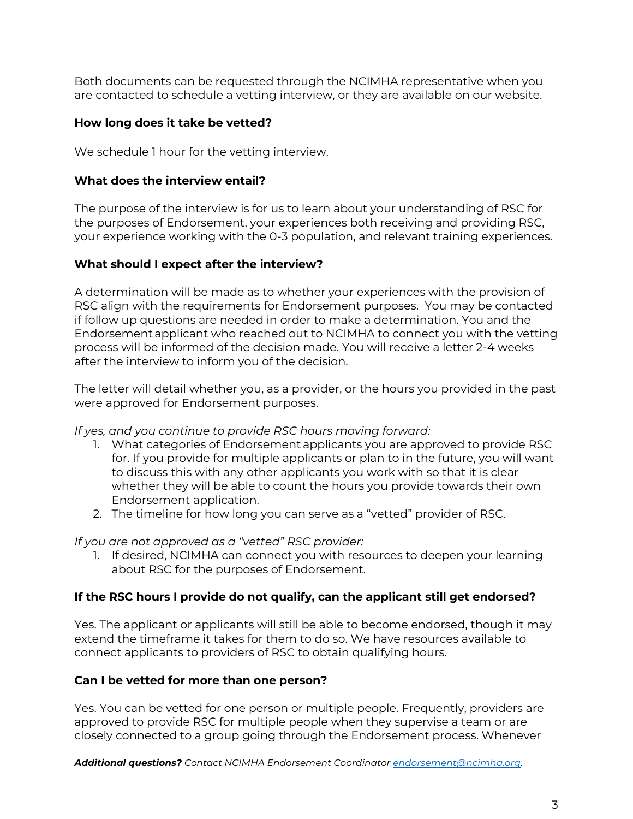Both documents can be requested through the NCIMHA representative when you are contacted to schedule a vetting interview, or they are available on our website.

### **How long does it take be vetted?**

We schedule 1 hour for the vetting interview.

### **What does the interview entail?**

The purpose of the interview is for us to learn about your understanding of RSC for the purposes of Endorsement, your experiences both receiving and providing RSC, your experience working with the 0-3 population, and relevant training experiences.

#### **What should I expect after the interview?**

A determination will be made as to whether your experiences with the provision of RSC align with the requirements for Endorsement purposes. You may be contacted if follow up questions are needed in order to make a determination. You and the Endorsement applicant who reached out to NCIMHA to connect you with the vetting process will be informed of the decision made. You will receive a letter 2-4 weeks after the interview to inform you of the decision.

The letter will detail whether you, as a provider, or the hours you provided in the past were approved for Endorsement purposes.

#### *If yes, and you continue to provide RSC hours moving forward:*

- 1. What categories of Endorsement applicants you are approved to provide RSC for. If you provide for multiple applicants or plan to in the future, you will want to discuss this with any other applicants you work with so that it is clear whether they will be able to count the hours you provide towards their own Endorsement application.
- 2. The timeline for how long you can serve as a "vetted" provider of RSC.

#### *If you are not approved as a "vetted" RSC provider:*

1. If desired, NCIMHA can connect you with resources to deepen your learning about RSC for the purposes of Endorsement.

# **If the RSC hours I provide do not qualify, can the applicant still get endorsed?**

Yes. The applicant or applicants will still be able to become endorsed, though it may extend the timeframe it takes for them to do so. We have resources available to connect applicants to providers of RSC to obtain qualifying hours.

# **Can I be vetted for more than one person?**

Yes. You can be vetted for one person or multiple people. Frequently, providers are approved to provide RSC for multiple people when they supervise a team or are closely connected to a group going through the Endorsement process. Whenever

*Additional questions? Contact NCIMHA Endorsement Coordinator [endorsement@ncimha.org.](mailto:endorsement@ncimha.org)*